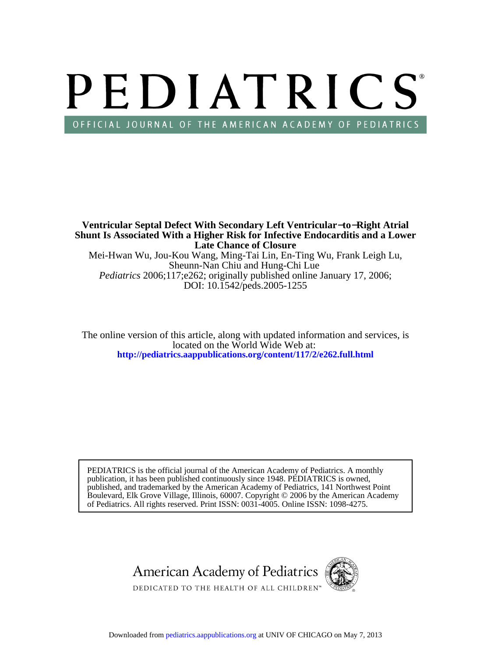# PEDIATRICS OFFICIAL JOURNAL OF THE AMERICAN ACADEMY OF PEDIATRICS

DOI: 10.1542/peds.2005-1255 *Pediatrics* 2006;117;e262; originally published online January 17, 2006; Sheunn-Nan Chiu and Hung-Chi Lue Mei-Hwan Wu, Jou-Kou Wang, Ming-Tai Lin, En-Ting Wu, Frank Leigh Lu, **Late Chance of Closure Shunt Is Associated With a Higher Risk for Infective Endocarditis and a Lower Ventricular Septal Defect With Secondary Left Ventricular**−**to**−**Right Atrial**

**<http://pediatrics.aappublications.org/content/117/2/e262.full.html>** located on the World Wide Web at: The online version of this article, along with updated information and services, is

of Pediatrics. All rights reserved. Print ISSN: 0031-4005. Online ISSN: 1098-4275. Boulevard, Elk Grove Village, Illinois, 60007. Copyright © 2006 by the American Academy published, and trademarked by the American Academy of Pediatrics, 141 Northwest Point publication, it has been published continuously since 1948. PEDIATRICS is owned, PEDIATRICS is the official journal of the American Academy of Pediatrics. A monthly

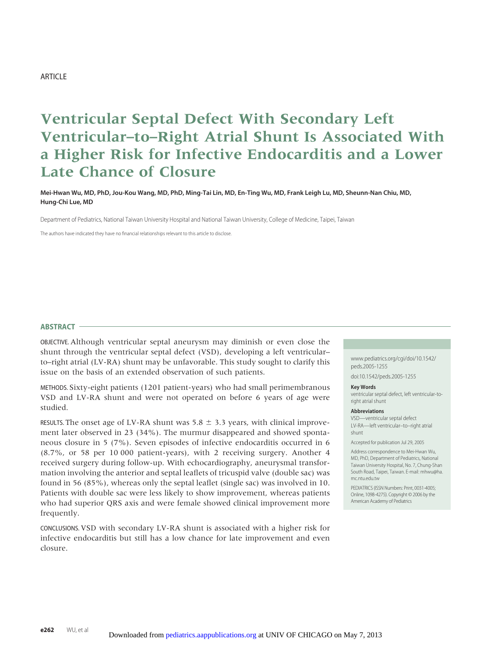# ARTICLE

# **Ventricular Septal Defect With Secondary Left Ventricular–to–Right Atrial Shunt Is Associated With a Higher Risk for Infective Endocarditis and a Lower Late Chance of Closure**

# **Mei-Hwan Wu, MD, PhD, Jou-Kou Wang, MD, PhD, Ming-Tai Lin, MD, En-Ting Wu, MD, Frank Leigh Lu, MD, Sheunn-Nan Chiu, MD, Hung-Chi Lue, MD**

Department of Pediatrics, National Taiwan University Hospital and National Taiwan University, College of Medicine, Taipei, Taiwan

The authors have indicated they have no financial relationships relevant to this article to disclose.

#### **ABSTRACT**

OBJECTIVE. Although ventricular septal aneurysm may diminish or even close the shunt through the ventricular septal defect (VSD), developing a left ventricular– to–right atrial (LV-RA) shunt may be unfavorable. This study sought to clarify this issue on the basis of an extended observation of such patients.

METHODS. Sixty-eight patients (1201 patient-years) who had small perimembranous VSD and LV-RA shunt and were not operated on before 6 years of age were studied.

RESULTS. The onset age of LV-RA shunt was  $5.8 \pm 3.3$  years, with clinical improvement later observed in 23 (34%). The murmur disappeared and showed spontaneous closure in 5 (7%). Seven episodes of infective endocarditis occurred in 6 (8.7%, or 58 per 10 000 patient-years), with 2 receiving surgery. Another 4 received surgery during follow-up. With echocardiography, aneurysmal transformation involving the anterior and septal leaflets of tricuspid valve (double sac) was found in 56 (85%), whereas only the septal leaflet (single sac) was involved in 10. Patients with double sac were less likely to show improvement, whereas patients who had superior QRS axis and were female showed clinical improvement more frequently.

CONCLUSIONS. VSD with secondary LV-RA shunt is associated with a higher risk for infective endocarditis but still has a low chance for late improvement and even closure.

www.pediatrics.org/cgi/doi/10.1542/ peds.2005-1255

doi:10.1542/peds.2005-1255

#### **Key Words**

ventricular septal defect, left ventricular-toright atrial shunt

#### **Abbreviations**

VSD—ventricular septal defect LV-RA—left ventricular–to–right atrial shunt

Accepted for publication Jul 29, 2005

Address correspondence to Mei-Hwan Wu, MD, PhD, Department of Pediatrics, National Taiwan University Hospital, No. 7, Chung-Shan South Road, Taipei, Taiwan. E-mail: mhwu@ha. mc.ntu.edu.tw

PEDIATRICS (ISSN Numbers: Print, 0031-4005; Online, 1098-4275). Copyright © 2006 by the American Academy of Pediatrics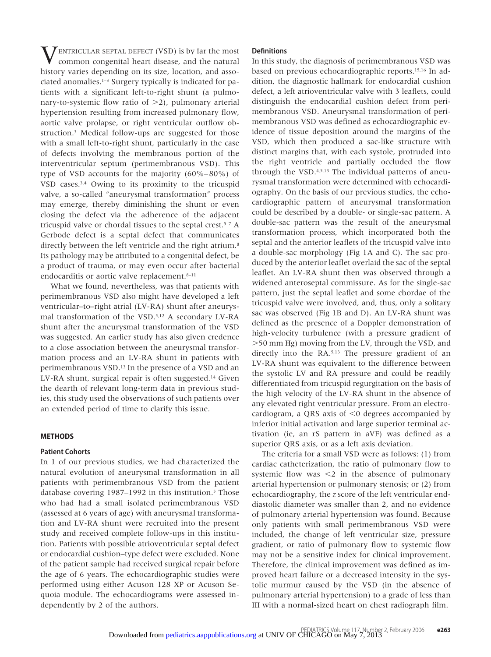$\sum$  ENTRICULAR SEPTAL DEFECT (VSD) is by far the most common congenital heart disease, and the natural history varies depending on its size, location, and associated anomalies.1–3 Surgery typically is indicated for patients with a significant left-to-right shunt (a pulmonary-to-systemic flow ratio of  $>$ 2), pulmonary arterial hypertension resulting from increased pulmonary flow, aortic valve prolapse, or right ventricular outflow obstruction.3 Medical follow-ups are suggested for those with a small left-to-right shunt, particularly in the case of defects involving the membranous portion of the interventricular septum (perimembranous VSD). This type of VSD accounts for the majority (60%–80%) of VSD cases.3,4 Owing to its proximity to the tricuspid valve, a so-called "aneurysmal transformation" process may emerge, thereby diminishing the shunt or even closing the defect via the adherence of the adjacent tricuspid valve or chordal tissues to the septal crest.<sup>5-7</sup> A Gerbode defect is a septal defect that communicates directly between the left ventricle and the right atrium.<sup>8</sup> Its pathology may be attributed to a congenital defect, be a product of trauma, or may even occur after bacterial endocarditis or aortic valve replacement.<sup>8-11</sup>

What we found, nevertheless, was that patients with perimembranous VSD also might have developed a left ventricular–to–right atrial (LV-RA) shunt after aneurysmal transformation of the VSD.5,12 A secondary LV-RA shunt after the aneurysmal transformation of the VSD was suggested. An earlier study has also given credence to a close association between the aneurysmal transformation process and an LV-RA shunt in patients with perimembranous VSD.13 In the presence of a VSD and an LV-RA shunt, surgical repair is often suggested.14 Given the dearth of relevant long-term data in previous studies, this study used the observations of such patients over an extended period of time to clarify this issue.

# **METHODS**

# **Patient Cohorts**

In 1 of our previous studies, we had characterized the natural evolution of aneurysmal transformation in all patients with perimembranous VSD from the patient database covering 1987–1992 in this institution.<sup>5</sup> Those who had had a small isolated perimembranous VSD (assessed at 6 years of age) with aneurysmal transformation and LV-RA shunt were recruited into the present study and received complete follow-ups in this institution. Patients with possible atrioventricular septal defect or endocardial cushion–type defect were excluded. None of the patient sample had received surgical repair before the age of 6 years. The echocardiographic studies were performed using either Acuson 128 XP or Acuson Sequoia module. The echocardiograms were assessed independently by 2 of the authors.

# **Definitions**

In this study, the diagnosis of perimembranous VSD was based on previous echocardiographic reports.15,16 In addition, the diagnostic hallmark for endocardial cushion defect, a left atrioventricular valve with 3 leaflets, could distinguish the endocardial cushion defect from perimembranous VSD. Aneurysmal transformation of perimembranous VSD was defined as echocardiographic evidence of tissue deposition around the margins of the VSD, which then produced a sac-like structure with distinct margins that, with each systole, protruded into the right ventricle and partially occluded the flow through the VSD.4,5,13 The individual patterns of aneurysmal transformation were determined with echocardiography. On the basis of our previous studies, the echocardiographic pattern of aneurysmal transformation could be described by a double- or single-sac pattern. A double-sac pattern was the result of the aneurysmal transformation process, which incorporated both the septal and the anterior leaflets of the tricuspid valve into a double-sac morphology (Fig 1A and C). The sac produced by the anterior leaflet overlaid the sac of the septal leaflet. An LV-RA shunt then was observed through a widened anteroseptal commissure. As for the single-sac pattern, just the septal leaflet and some chordae of the tricuspid valve were involved, and, thus, only a solitary sac was observed (Fig 1B and D). An LV-RA shunt was defined as the presence of a Doppler demonstration of high-velocity turbulence (with a pressure gradient of -50 mm Hg) moving from the LV, through the VSD, and directly into the RA.<sup>5,13</sup> The pressure gradient of an LV-RA shunt was equivalent to the difference between the systolic LV and RA pressure and could be readily differentiated from tricuspid regurgitation on the basis of the high velocity of the LV-RA shunt in the absence of any elevated right ventricular pressure. From an electrocardiogram, a QRS axis of  $\leq 0$  degrees accompanied by inferior initial activation and large superior terminal activation (ie, an rS pattern in aVF) was defined as a superior QRS axis, or as a left axis deviation.

The criteria for a small VSD were as follows: (1) from cardiac catheterization, the ratio of pulmonary flow to systemic flow was  $\leq 2$  in the absence of pulmonary arterial hypertension or pulmonary stenosis; or (2) from echocardiography, the *z* score of the left ventricular enddiastolic diameter was smaller than 2, and no evidence of pulmonary arterial hypertension was found. Because only patients with small perimembranous VSD were included, the change of left ventricular size, pressure gradient, or ratio of pulmonary flow to systemic flow may not be a sensitive index for clinical improvement. Therefore, the clinical improvement was defined as improved heart failure or a decreased intensity in the systolic murmur caused by the VSD (in the absence of pulmonary arterial hypertension) to a grade of less than III with a normal-sized heart on chest radiograph film.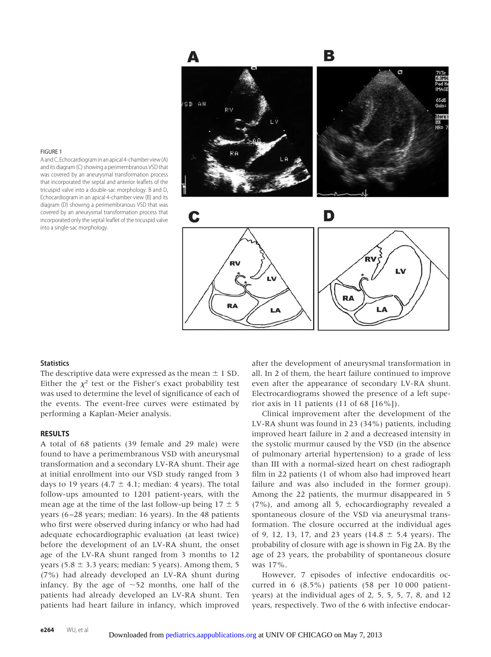

#### FIGURE 1

A and C, Echocardiogram in an apical 4-chamber view (A) and its diagram (C) showing a perimembranous VSD that was covered by an aneurysmal transformation process that incorporated the septal and anterior leaflets of the tricuspid valve into a double-sac morphology. B and D, Echocardiogram in an apical 4-chamber view (B) and its diagram (D) showing a perimembranous VSD that was covered by an aneurysmal transformation process that incorporated only the septal leaflet of the tricuspid valve into a single-sac morphology.

#### **Statistics**

The descriptive data were expressed as the mean  $\pm$  1 SD. Either the  $\chi^2$  test or the Fisher's exact probability test was used to determine the level of significance of each of the events. The event-free curves were estimated by performing a Kaplan-Meier analysis.

# **RESULTS**

A total of 68 patients (39 female and 29 male) were found to have a perimembranous VSD with aneurysmal transformation and a secondary LV-RA shunt. Their age at initial enrollment into our VSD study ranged from 3 days to 19 years (4.7  $\pm$  4.1; median: 4 years). The total follow-ups amounted to 1201 patient-years, with the mean age at the time of the last follow-up being  $17 \pm 5$ years (6–28 years; median: 16 years). In the 48 patients who first were observed during infancy or who had had adequate echocardiographic evaluation (at least twice) before the development of an LV-RA shunt, the onset age of the LV-RA shunt ranged from 3 months to 12 years (5.8  $\pm$  3.3 years; median: 5 years). Among them, 5 (7%) had already developed an LV-RA shunt during infancy. By the age of  $\sim$ 52 months, one half of the patients had already developed an LV-RA shunt. Ten patients had heart failure in infancy, which improved after the development of aneurysmal transformation in all. In 2 of them, the heart failure continued to improve even after the appearance of secondary LV-RA shunt. Electrocardiograms showed the presence of a left superior axis in 11 patients (11 of 68 [16%]).

Clinical improvement after the development of the LV-RA shunt was found in 23 (34%) patients, including improved heart failure in 2 and a decreased intensity in the systolic murmur caused by the VSD (in the absence of pulmonary arterial hypertension) to a grade of less than III with a normal-sized heart on chest radiograph film in 22 patients (1 of whom also had improved heart failure and was also included in the former group). Among the 22 patients, the murmur disappeared in 5 (7%), and among all 5, echocardiography revealed a spontaneous closure of the VSD via aneurysmal transformation. The closure occurred at the individual ages of 9, 12, 13, 17, and 23 years (14.8  $\pm$  5.4 years). The probability of closure with age is shown in Fig 2A. By the age of 23 years, the probability of spontaneous closure was 17%.

However, 7 episodes of infective endocarditis occurred in 6 (8.5%) patients (58 per 10 000 patientyears) at the individual ages of 2, 5, 5, 5, 7, 8, and 12 years, respectively. Two of the 6 with infective endocar-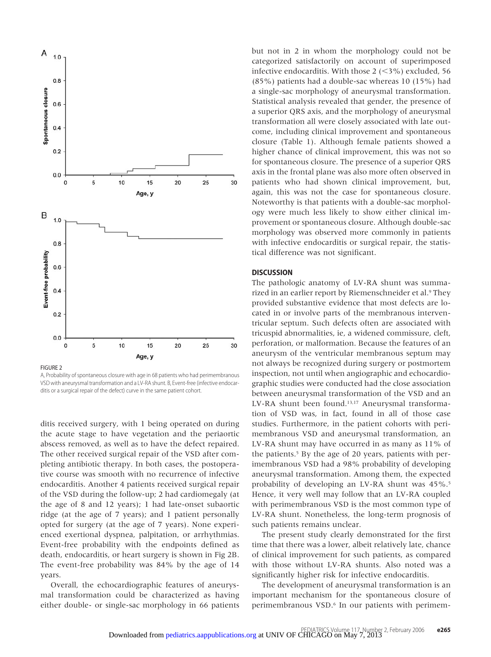

FIGURE 2

A, Probability of spontaneous closure with age in 68 patients who had perimembranous VSD with aneurysmal transformation and a LV-RA shunt. B, Event-free (infective endocarditis or a surgical repair of the defect) curve in the same patient cohort.

ditis received surgery, with 1 being operated on during the acute stage to have vegetation and the periaortic abscess removed, as well as to have the defect repaired. The other received surgical repair of the VSD after completing antibiotic therapy. In both cases, the postoperative course was smooth with no recurrence of infective endocarditis. Another 4 patients received surgical repair of the VSD during the follow-up; 2 had cardiomegaly (at the age of 8 and 12 years); 1 had late-onset subaortic ridge (at the age of 7 years); and 1 patient personally opted for surgery (at the age of 7 years). None experienced exertional dyspnea, palpitation, or arrhythmias. Event-free probability with the endpoints defined as death, endocarditis, or heart surgery is shown in Fig 2B. The event-free probability was 84% by the age of 14 years.

Overall, the echocardiographic features of aneurysmal transformation could be characterized as having either double- or single-sac morphology in 66 patients

but not in 2 in whom the morphology could not be categorized satisfactorily on account of superimposed infective endocarditis. With those  $2$  (<3%) excluded, 56 (85%) patients had a double-sac whereas 10 (15%) had a single-sac morphology of aneurysmal transformation. Statistical analysis revealed that gender, the presence of a superior QRS axis, and the morphology of aneurysmal transformation all were closely associated with late outcome, including clinical improvement and spontaneous closure (Table 1). Although female patients showed a higher chance of clinical improvement, this was not so for spontaneous closure. The presence of a superior QRS axis in the frontal plane was also more often observed in patients who had shown clinical improvement, but, again, this was not the case for spontaneous closure. Noteworthy is that patients with a double-sac morphology were much less likely to show either clinical improvement or spontaneous closure. Although double-sac morphology was observed more commonly in patients with infective endocarditis or surgical repair, the statistical difference was not significant.

#### **DISCUSSION**

The pathologic anatomy of LV-RA shunt was summarized in an earlier report by Riemenschneider et al.<sup>9</sup> They provided substantive evidence that most defects are located in or involve parts of the membranous interventricular septum. Such defects often are associated with tricuspid abnormalities, ie, a widened commissure, cleft, perforation, or malformation. Because the features of an aneurysm of the ventricular membranous septum may not always be recognized during surgery or postmortem inspection, not until when angiographic and echocardiographic studies were conducted had the close association between aneurysmal transformation of the VSD and an LV-RA shunt been found.13,17 Aneurysmal transformation of VSD was, in fact, found in all of those case studies. Furthermore, in the patient cohorts with perimembranous VSD and aneurysmal transformation, an LV-RA shunt may have occurred in as many as 11% of the patients.<sup>5</sup> By the age of 20 years, patients with perimembranous VSD had a 98% probability of developing aneurysmal transformation. Among them, the expected probability of developing an LV-RA shunt was 45%.<sup>5</sup> Hence, it very well may follow that an LV-RA coupled with perimembranous VSD is the most common type of LV-RA shunt. Nonetheless, the long-term prognosis of such patients remains unclear.

The present study clearly demonstrated for the first time that there was a lower, albeit relatively late, chance of clinical improvement for such patients, as compared with those without LV-RA shunts. Also noted was a significantly higher risk for infective endocarditis.

The development of aneurysmal transformation is an important mechanism for the spontaneous closure of perimembranous VSD.6 In our patients with perimem-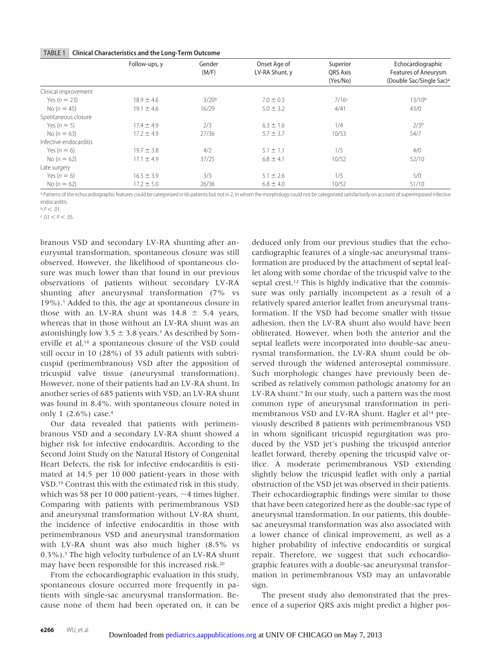#### TABLE 1 **Clinical Characteristics and the Long-Term Outcome**

|                        | Follow-ups, y  | Gender<br>(M/F)   | Onset Age of<br>LV-RA Shunt, y | Superior<br><b>ORS Axis</b><br>(Yes/No) | Echocardiographic<br><b>Features of Aneurysm</b><br>(Double Sac/Single Sac) <sup>a</sup> |
|------------------------|----------------|-------------------|--------------------------------|-----------------------------------------|------------------------------------------------------------------------------------------|
|                        |                |                   |                                |                                         |                                                                                          |
|                        |                |                   |                                |                                         |                                                                                          |
| Clinical improvement   |                |                   |                                |                                         |                                                                                          |
| Yes $(n = 23)$         | $18.9 \pm 4.6$ | 3/20 <sup>b</sup> | $7.0 \pm 0.3$                  | 7/16c                                   | $13/10^{b}$                                                                              |
| No $(n = 45)$          | $19.1 \pm 4.6$ | 16/29             | $5.0 \pm 3.2$                  | 4/41                                    | 43/0                                                                                     |
| Spontaneous closure    |                |                   |                                |                                         |                                                                                          |
| Yes $(n = 5)$          | $17.4 \pm 4.9$ | 2/3               | $6.3 \pm 1.6$                  | 1/4                                     | 2/3 <sup>b</sup>                                                                         |
| No $(n = 63)$          | $17.2 \pm 4.9$ | 27/36             | $5.7 \pm 3.7$                  | 10/53                                   | 54/7                                                                                     |
| Infective endocarditis |                |                   |                                |                                         |                                                                                          |
| Yes $(n = 6)$          | $19.7 \pm 3.8$ | 4/2               | $5.1 \pm 1.1$                  | 1/5                                     | 4/0                                                                                      |
| No $(n = 62)$          | $17.1 \pm 4.9$ | 37/25             | $6.8 \pm 4.1$                  | 10/52                                   | 52/10                                                                                    |
| Late surgery           |                |                   |                                |                                         |                                                                                          |
| Yes $(n = 6)$          | $16.5 \pm 3.9$ | 3/3               | $5.1 \pm 2.6$                  | 1/5                                     | 5/0                                                                                      |
| No $(n = 62)$          | $17.2 \pm 5.0$ | 26/36             | $6.8 \pm 4.0$                  | 10/52                                   | 51/10                                                                                    |

a Patterns of the echocardiographic features could be categorized in 66 patients but not in 2, in whom the morphology could not be categorized satisfactorily on account of superimposed infective endocarditis.

 $b \rho \lt 01$ 

 $c$  .01  $<$  P  $<$  .05.

branous VSD and secondary LV-RA shunting after aneurysmal transformation, spontaneous closure was still observed. However, the likelihood of spontaneous closure was much lower than that found in our previous observations of patients without secondary LV-RA shunting after aneurysmal transformation (7% vs 19%).5 Added to this, the age at spontaneous closure in those with an LV-RA shunt was  $14.8 \pm 5.4$  years, whereas that in those without an LV-RA shunt was an astonishingly low 3.5  $\pm$  3.8 years.<sup>5</sup> As described by Somerville et al,18 a spontaneous closure of the VSD could still occur in 10 (28%) of 35 adult patients with subtricuspid (perimembranous) VSD after the apposition of tricuspid valve tissue (aneurysmal transformation). However, none of their patients had an LV-RA shunt. In another series of 685 patients with VSD, an LV-RA shunt was found in 8.4%, with spontaneous closure noted in only 1 (2.6%) case.4

Our data revealed that patients with perimembranous VSD and a secondary LV-RA shunt showed a higher risk for infective endocarditis. According to the Second Joint Study on the Natural History of Congenital Heart Defects, the risk for infective endocarditis is estimated at 14.5 per 10 000 patient-years in those with VSD.19 Contrast this with the estimated risk in this study, which was 58 per 10 000 patient-years,  $\sim$ 4 times higher. Comparing with patients with perimembranous VSD and aneurysmal transformation without LV-RA shunt, the incidence of infective endocarditis in those with perimembranous VSD and aneurysmal transformation with LV-RA shunt was also much higher (8.5% vs 0.3%).5 The high velocity turbulence of an LV-RA shunt may have been responsible for this increased risk.20

From the echocardiographic evaluation in this study, spontaneous closure occurred more frequently in patients with single-sac aneurysmal transformation. Because none of them had been operated on, it can be deduced only from our previous studies that the echocardiographic features of a single-sac aneurysmal transformation are produced by the attachment of septal leaflet along with some chordae of the tricuspid valve to the septal crest.12 This is highly indicative that the commissure was only partially incompetent as a result of a relatively spared anterior leaflet from aneurysmal transformation. If the VSD had become smaller with tissue adhesion, then the LV-RA shunt also would have been obliterated. However, when both the anterior and the septal leaflets were incorporated into double-sac aneurysmal transformation, the LV-RA shunt could be observed through the widened anteroseptal commissure. Such morphologic changes have previously been described as relatively common pathologic anatomy for an LV-RA shunt.<sup>9</sup> In our study, such a pattern was the most common type of aneurysmal transformation in perimembranous VSD and LV-RA shunt. Hagler et al<sup>14</sup> previously described 8 patients with perimembranous VSD in whom significant tricuspid regurgitation was produced by the VSD jet's pushing the tricuspid anterior leaflet forward, thereby opening the tricuspid valve orifice. A moderate perimembranous VSD extending slightly below the tricuspid leaflet with only a partial obstruction of the VSD jet was observed in their patients. Their echocardiographic findings were similar to those that have been categorized here as the double-sac type of aneurysmal transformation. In our patients, this doublesac aneurysmal transformation was also associated with a lower chance of clinical improvement, as well as a higher probability of infective endocarditis or surgical repair. Therefore, we suggest that such echocardiographic features with a double-sac aneurysmal transformation in perimembranous VSD may an unfavorable sign.

The present study also demonstrated that the presence of a superior QRS axis might predict a higher pos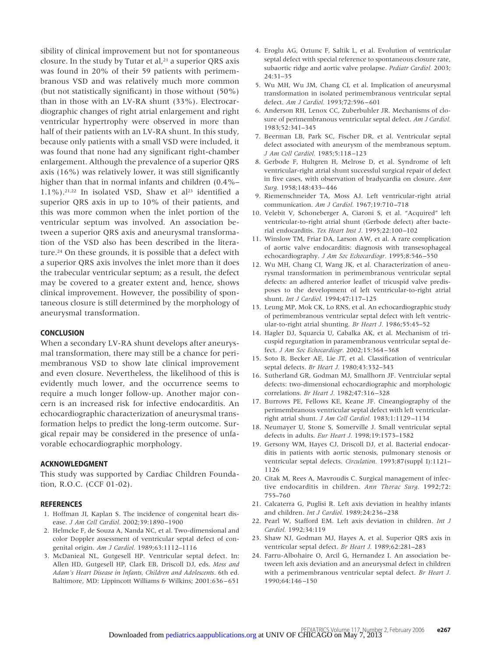sibility of clinical improvement but not for spontaneous closure. In the study by Tutar et al, $21$  a superior QRS axis was found in 20% of their 59 patients with perimembranous VSD and was relatively much more common (but not statistically significant) in those without (50%) than in those with an LV-RA shunt (33%). Electrocardiographic changes of right atrial enlargement and right ventricular hypertrophy were observed in more than half of their patients with an LV-RA shunt. In this study, because only patients with a small VSD were included, it was found that none had any significant right-chamber enlargement. Although the prevalence of a superior QRS axis (16%) was relatively lower, it was still significantly higher than that in normal infants and children (0.4%– 1.1%).<sup>21,22</sup> In isolated VSD, Shaw et al<sup>23</sup> identified a superior QRS axis in up to 10% of their patients, and this was more common when the inlet portion of the ventricular septum was involved. An association between a superior QRS axis and aneurysmal transformation of the VSD also has been described in the literature.24 On these grounds, it is possible that a defect with a superior QRS axis involves the inlet more than it does the trabecular ventricular septum; as a result, the defect may be covered to a greater extent and, hence, shows clinical improvement. However, the possibility of spontaneous closure is still determined by the morphology of aneurysmal transformation.

# **CONCLUSION**

When a secondary LV-RA shunt develops after aneurysmal transformation, there may still be a chance for perimembranous VSD to show late clinical improvement and even closure. Nevertheless, the likelihood of this is evidently much lower, and the occurrence seems to require a much longer follow-up. Another major concern is an increased risk for infective endocarditis. An echocardiographic characterization of aneurysmal transformation helps to predict the long-term outcome. Surgical repair may be considered in the presence of unfavorable echocardiographic morphology.

# **ACKNOWLEDGMENT**

This study was supported by Cardiac Children Foundation, R.O.C. (CCF 01-02).

#### **REFERENCES**

- 1. Hoffman JI, Kaplan S. The incidence of congenital heart disease. *J Am Coll Cardiol.* 2002;39:1890–1900
- 2. Helmcke F, de Souza A, Nanda NC, et al. Two-dimensional and color Doppler assessment of ventricular septal defect of congenital origin. *Am J Cardiol.* 1989;63:1112–1116
- 3. McDanieal NL, Gutgesell HP. Ventricular septal defect. In: Allen HD, Gutgesell HP, Clark EB, Driscoll DJ, eds. *Moss and Adam's Heart Disease in Infants, Children and Adolescents*. 6th ed. Baltimore, MD: Lippincott Williams & Wilkins; 2001:636–651
- 4. Eroglu AG, Oztunc F, Saltik L, et al. Evolution of ventricular septal defect with special reference to spontaneous closure rate, subaortic ridge and aortic valve prolapse. *Pediatr Cardiol.* 2003; 24:31–35
- 5. Wu MH, Wu JM, Chang CI, et al. Implication of aneurysmal transformation in isolated perimembranous ventricular septal defect. *Am J Cardiol.* 1993;72:596–601
- 6. Anderson RH, Lenox CC, Zuberbuhler JR. Mechanisms of closure of perimembranous ventricular septal defect. *Am J Cardiol.* 1983;52:341–345
- 7. Beerman LB, Park SC, Fischer DR, et al. Ventricular septal defect associated with aneurysm of the membranous septum. *J Am Coll Cardiol.* 1985;5:118–123
- 8. Gerbode F, Hultgren H, Melrose D, et al. Syndrome of left ventricular-right atrial shunt successful surgical repair of defect in five cases, with observation of bradycardia on closure. *Ann Surg.* 1958;148:433–446
- 9. Riemenschneider TA, Moss AJ. Left ventricular-right atrial communication. *Am J Cardiol.* 1967;19:710–718
- 10. Velebit V, Schoneberger A, Ciaroni S, et al. "Acquired" left ventricular-to-right atrial shunt (Gerbode defect) after bacterial endocarditis. *Tex Heart Inst J.* 1995;22:100–102
- 11. Winslow TM, Friar DA, Larson AW, et al. A rare complication of aortic valve endocarditis: diagnosis with transesophageal echocardiography. *J Am Soc Echocardiogr.* 1995;8:546–550
- 12. Wu MH, Chang CI, Wang JK, et al. Characterization of aneurysmal transformation in perimembranous ventricular septal defects: an adhered anterior leaflet of tricuspid valve predisposes to the development of left ventricular-to-right atrial shunt. *Int J Cardiol.* 1994;47:117–125
- 13. Leung MP, Mok CK, Lo RNS, et al. An echocardiographic study of perimembranous ventricular septal defect with left ventricular-to-right atrial shunting. *Br Heart J.* 1986;55:45–52
- 14. Hagler DJ, Squarcia U, Cabalka AK, et al. Mechanism of tricuspid regurgitation in paramembranous ventricular septal defect. *J Am Soc Echocardiogr.* 2002;15:364–368
- 15. Soto B, Becker AE, Lie JT, et al. Classification of ventricular septal defects. *Br Heart J.* 1980;43:332–343
- 16. Sutherland GR, Godman MJ, Smallhorn JF. Ventrciular septal defects: two-dimensional echocardiographic and morphologic correlations. *Br Heart J.* 1982;47:316–328
- 17. Burrows PE, Fellows KE, Keane JF. Cineangiography of the perimembranous ventricular septal defect with left ventricularright atrial shunt. *J Am Coll Cardiol.* 1983;1:1129–1134
- 18. Neumayer U, Stone S, Somerville J. Small ventricular septal defects in adults. *Eur Heart J.* 1998;19:1573–1582
- 19. Gersony WM, Hayes CJ, Driscoll DJ, et al. Bacterial endocarditis in patients with aortic stenosis, pulmonary stenosis or ventricular septal defects. *Circulation.* 1993;87(suppl I):1121– 1126
- 20. Citak M, Rees A, Mavroudis C. Surgical management of infective endocarditis in children. *Ann Thorac Surg.* 1992;72: 755–760
- 21. Calcaterra G, Puglisi R. Left axis deviation in healthy infants and children. *Int J Cardiol.* 1989;24:236–238
- 22. Pearl W, Stafford EM. Left axis deviation in children. *Int J Cardiol.* 1992;34:119
- 23. Shaw NJ, Godman MJ, Hayes A, et al. Superior QRS axis in ventricular septal defect. *Br Heart J.* 1989;62:281–283
- 24. Farru-Albohaire O, Arcil G, Hernandez I. An association between left axis deviation and an aneurysmal defect in children with a perimembranous ventricular septal defect. *Br Heart J.* 1990;64:146–150